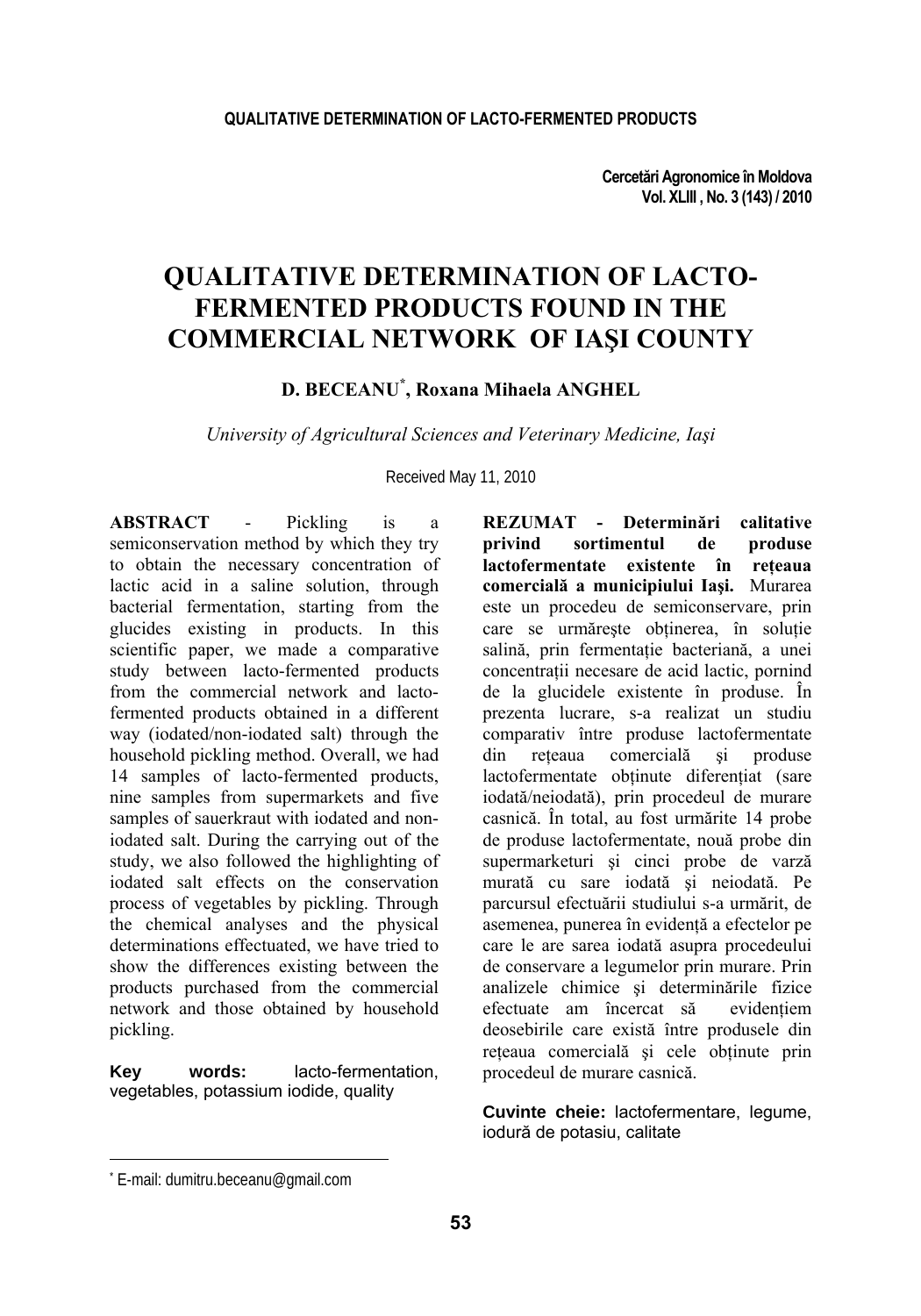# **QUALITATIVE DETERMINATION OF LACTO-FERMENTED PRODUCTS FOUND IN THE COMMERCIAL NETWORK OF IAŞI COUNTY**

**D. BECEANU\* , Roxana Mihaela ANGHEL** 

*University of Agricultural Sciences and Veterinary Medicine, Iaşi* 

Received May 11, 2010

**ABSTRACT** - Pickling is a semiconservation method by which they try to obtain the necessary concentration of lactic acid in a saline solution, through bacterial fermentation, starting from the glucides existing in products. In this scientific paper, we made a comparative study between lacto-fermented products from the commercial network and lactofermented products obtained in a different way (iodated/non-iodated salt) through the household pickling method. Overall, we had 14 samples of lacto-fermented products, nine samples from supermarkets and five samples of sauerkraut with iodated and noniodated salt. During the carrying out of the study, we also followed the highlighting of iodated salt effects on the conservation process of vegetables by pickling. Through the chemical analyses and the physical determinations effectuated, we have tried to show the differences existing between the products purchased from the commercial network and those obtained by household pickling.

**Key words:** lacto-fermentation, vegetables, potassium iodide, quality

**REZUMAT - Determinări calitative privind sortimentul de produse lactofermentate existente în reţeaua comercială a municipiului Iaşi.** Murarea este un procedeu de semiconservare, prin care se urmărește obținerea, în solutie salină, prin fermentație bacteriană, a unei concentratii necesare de acid lactic, pornind de la glucidele existente în produse. În prezenta lucrare, s-a realizat un studiu comparativ între produse lactofermentate din reteaua comercială și produse lactofermentate obtinute diferentiat (sare iodată/neiodată), prin procedeul de murare casnică. În total, au fost urmărite 14 probe de produse lactofermentate, nouă probe din supermarketuri şi cinci probe de varză murată cu sare iodată şi neiodată. Pe parcursul efectuării studiului s-a urmărit, de asemenea, punerea în evidenţă a efectelor pe care le are sarea iodată asupra procedeului de conservare a legumelor prin murare. Prin analizele chimice și determinările fizice efectuate am încercat să evidentiem deosebirile care există între produsele din reţeaua comercială şi cele obţinute prin procedeul de murare casnică.

**Cuvinte cheie:** lactofermentare, legume, iodură de potasiu, calitate

l

<sup>\*</sup> E-mail: dumitru.beceanu@gmail.com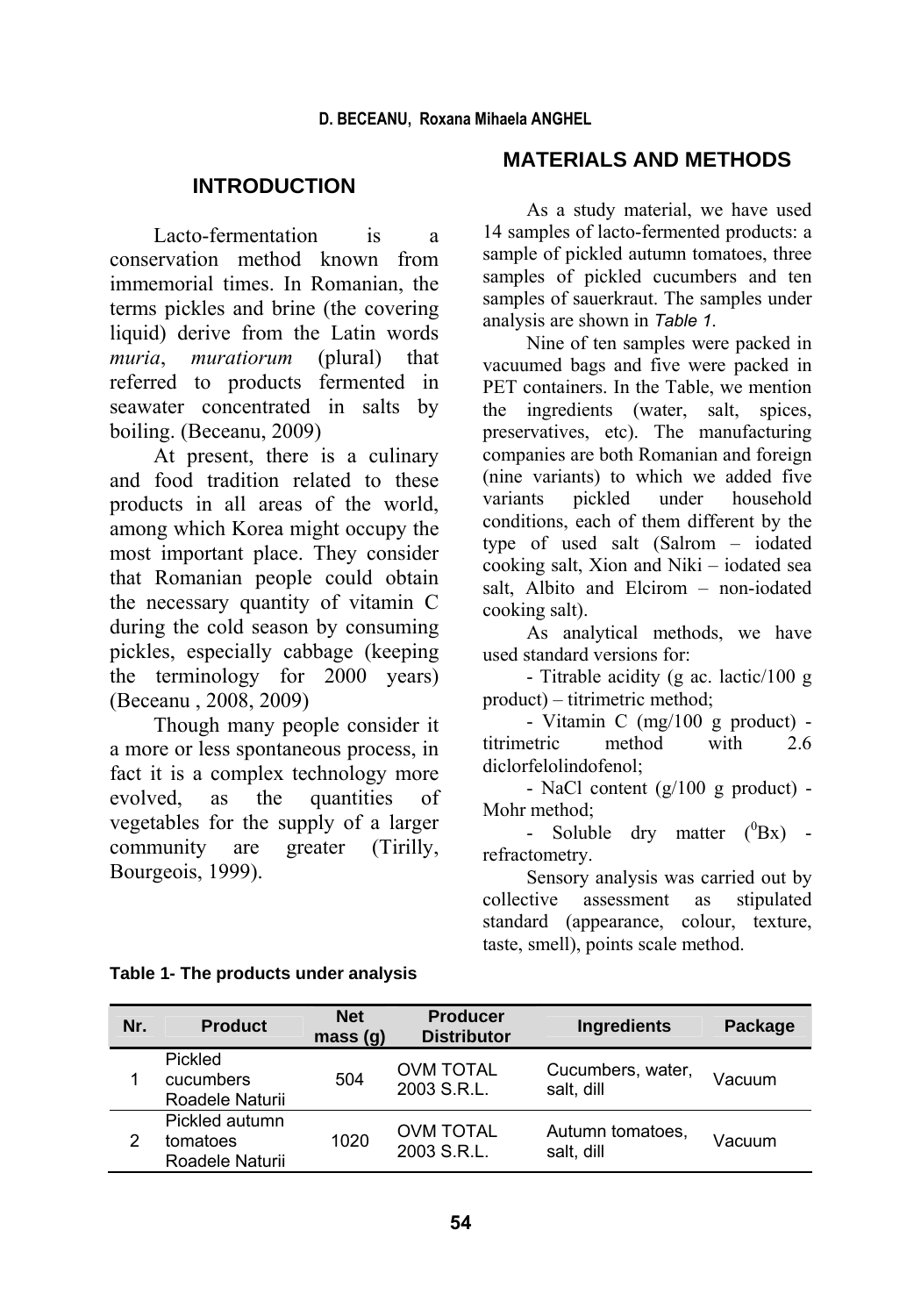## **INTRODUCTION**

Lacto-fermentation is a conservation method known from immemorial times. In Romanian, the terms pickles and brine (the covering liquid) derive from the Latin words *muria*, *muratiorum* (plural) that referred to products fermented in seawater concentrated in salts by boiling. (Beceanu, 2009)

At present, there is a culinary and food tradition related to these products in all areas of the world, among which Korea might occupy the most important place. They consider that Romanian people could obtain the necessary quantity of vitamin C during the cold season by consuming pickles, especially cabbage (keeping the terminology for 2000 years) (Beceanu , 2008, 2009)

Though many people consider it a more or less spontaneous process, in fact it is a complex technology more evolved, as the quantities of vegetables for the supply of a larger community are greater (Tirilly, Bourgeois, 1999).

## **MATERIALS AND METHODS**

As a study material, we have used 14 samples of lacto-fermented products: a sample of pickled autumn tomatoes, three samples of pickled cucumbers and ten samples of sauerkraut. The samples under analysis are shown in *Table 1*.

Nine of ten samples were packed in vacuumed bags and five were packed in PET containers. In the Table, we mention the ingredients (water, salt, spices, preservatives, etc). The manufacturing companies are both Romanian and foreign (nine variants) to which we added five variants pickled under household conditions, each of them different by the type of used salt (Salrom – iodated cooking salt, Xion and Niki – iodated sea salt, Albito and Elcirom – non-iodated cooking salt).

As analytical methods, we have used standard versions for:

- Titrable acidity (g ac. lactic/100 g product) – titrimetric method;

- Vitamin C (mg/100 g product) titrimetric method with 2.6 diclorfelolindofenol;

- NaCl content (g/100 g product) - Mohr method;

- Soluble dry matter  $(^0Bx)$  refractometry.

Sensory analysis was carried out by collective assessment as stipulated standard (appearance, colour, texture, taste, smell), points scale method.

| Nr. | <b>Product</b>                                | <b>Net</b><br>mass(q) | <b>Producer</b><br><b>Distributor</b> | Ingredients                     | Package |
|-----|-----------------------------------------------|-----------------------|---------------------------------------|---------------------------------|---------|
|     | Pickled<br>cucumbers<br>Roadele Naturii       | 504                   | <b>OVM TOTAL</b><br>2003 S.R.L.       | Cucumbers, water,<br>salt, dill | Vacuum  |
|     | Pickled autumn<br>tomatoes<br>Roadele Naturii | 1020                  | <b>OVM TOTAL</b><br>2003 S.R.L.       | Autumn tomatoes.<br>salt, dill  | Vacuum  |

#### **Table 1- The products under analysis**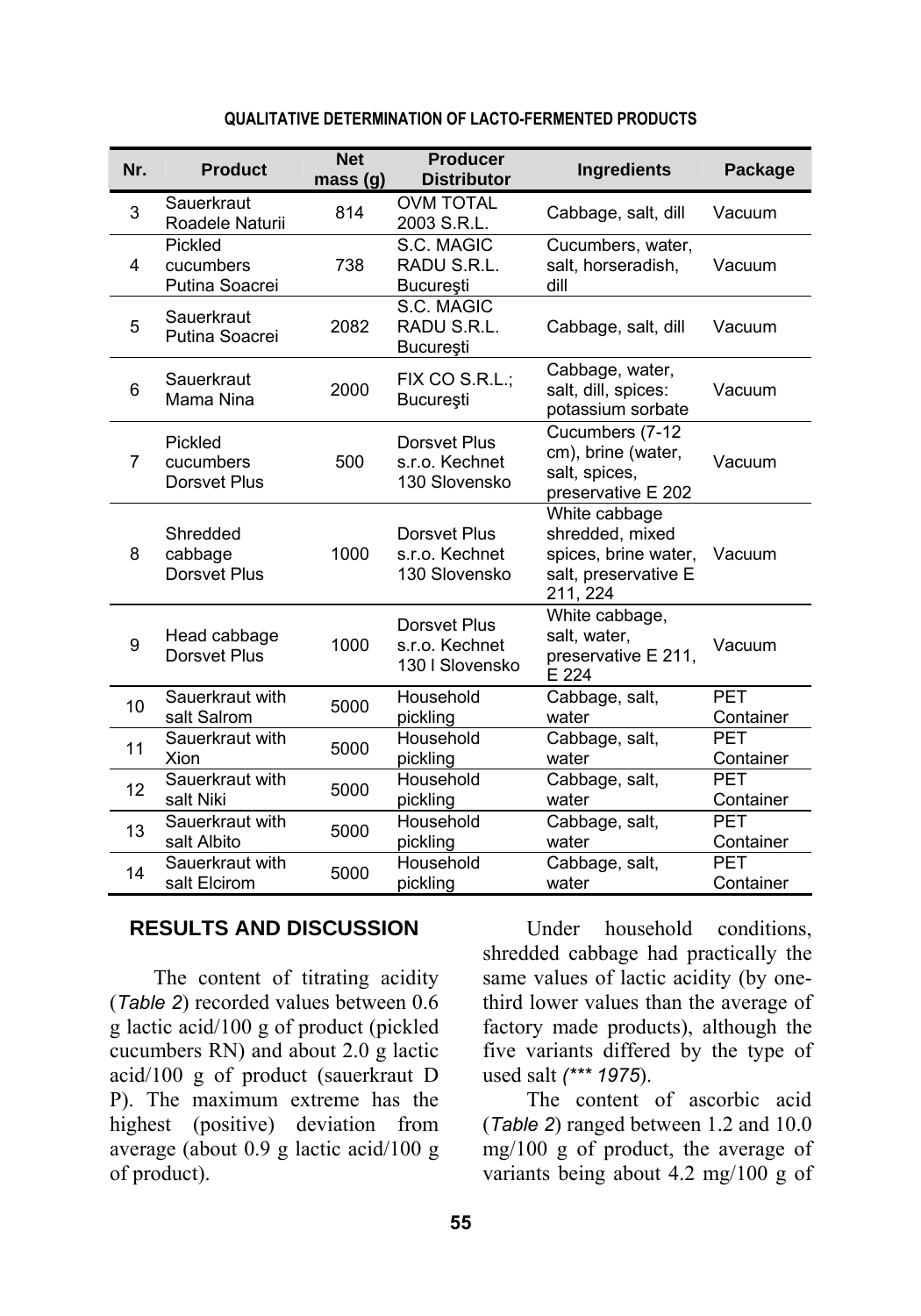| Nr. | <b>Product</b>                         | <b>Net</b><br>mass (g) | <b>Producer</b><br><b>Distributor</b>             | <b>Ingredients</b>                                                                           | Package                 |
|-----|----------------------------------------|------------------------|---------------------------------------------------|----------------------------------------------------------------------------------------------|-------------------------|
| 3   | Sauerkraut<br>Roadele Naturii          | 814                    | <b>OVM TOTAL</b><br>2003 S.R.L.                   | Cabbage, salt, dill                                                                          | Vacuum                  |
| 4   | Pickled<br>cucumbers<br>Putina Soacrei | 738                    | S.C. MAGIC<br>RADU S.R.L.<br><b>Bucuresti</b>     | Cucumbers, water,<br>salt, horseradish,<br>dill                                              | Vacuum                  |
| 5   | Sauerkraut<br>Putina Soacrei           | 2082                   | S.C. MAGIC<br>RADU S.R.L.<br>Bucureşti            | Cabbage, salt, dill                                                                          | Vacuum                  |
| 6   | Sauerkraut<br>Mama Nina                | 2000                   | FIX CO S.R.L.:<br>București                       | Cabbage, water,<br>salt, dill, spices:<br>potassium sorbate                                  | Vacuum                  |
| 7   | Pickled<br>cucumbers<br>Dorsvet Plus   | 500                    | Dorsvet Plus<br>s.r.o. Kechnet<br>130 Slovensko   | Cucumbers (7-12<br>cm), brine (water,<br>salt, spices,<br>preservative E 202                 | Vacuum                  |
| 8   | Shredded<br>cabbage<br>Dorsvet Plus    | 1000                   | Dorsvet Plus<br>s.r.o. Kechnet<br>130 Slovensko   | White cabbage<br>shredded, mixed<br>spices, brine water,<br>salt, preservative E<br>211, 224 | Vacuum                  |
| 9   | Head cabbage<br>Dorsvet Plus           | 1000                   | Dorsvet Plus<br>s.r.o. Kechnet<br>130   Slovensko | White cabbage,<br>salt, water,<br>preservative E 211,<br>E 224                               | Vacuum                  |
| 10  | Sauerkraut with<br>salt Salrom         | 5000                   | Household<br>pickling                             | Cabbage, salt,<br>water                                                                      | <b>PET</b><br>Container |
| 11  | Sauerkraut with<br>Xion                | 5000                   | Household<br>pickling                             | Cabbage, salt,<br>water                                                                      | <b>PFT</b><br>Container |
| 12  | Sauerkraut with<br>salt Niki           | 5000                   | Household<br>pickling                             | Cabbage, salt,<br>water                                                                      | <b>PET</b><br>Container |
| 13  | Sauerkraut with<br>salt Albito         | 5000                   | Household<br>pickling                             | Cabbage, salt,<br>water                                                                      | <b>PET</b><br>Container |
| 14  | Sauerkraut with<br>salt Elcirom        | 5000                   | Household<br>pickling                             | Cabbage, salt,<br>water                                                                      | PET<br>Container        |

#### **QUALITATIVE DETERMINATION OF LACTO-FERMENTED PRODUCTS**

### **RESULTS AND DISCUSSION**

The content of titrating acidity (*Table 2*) recorded values between 0.6 g lactic acid/100 g of product (pickled cucumbers RN) and about 2.0 g lactic acid/100 g of product (sauerkraut D P). The maximum extreme has the highest (positive) deviation from average (about 0.9 g lactic acid/100 g of product).

Under household conditions, shredded cabbage had practically the same values of lactic acidity (by onethird lower values than the average of factory made products), although the five variants differed by the type of used salt *(\*\*\* 1975*).

The content of ascorbic acid (*Table 2*) ranged between 1.2 and 10.0 mg/100 g of product, the average of variants being about 4.2 mg/100 g of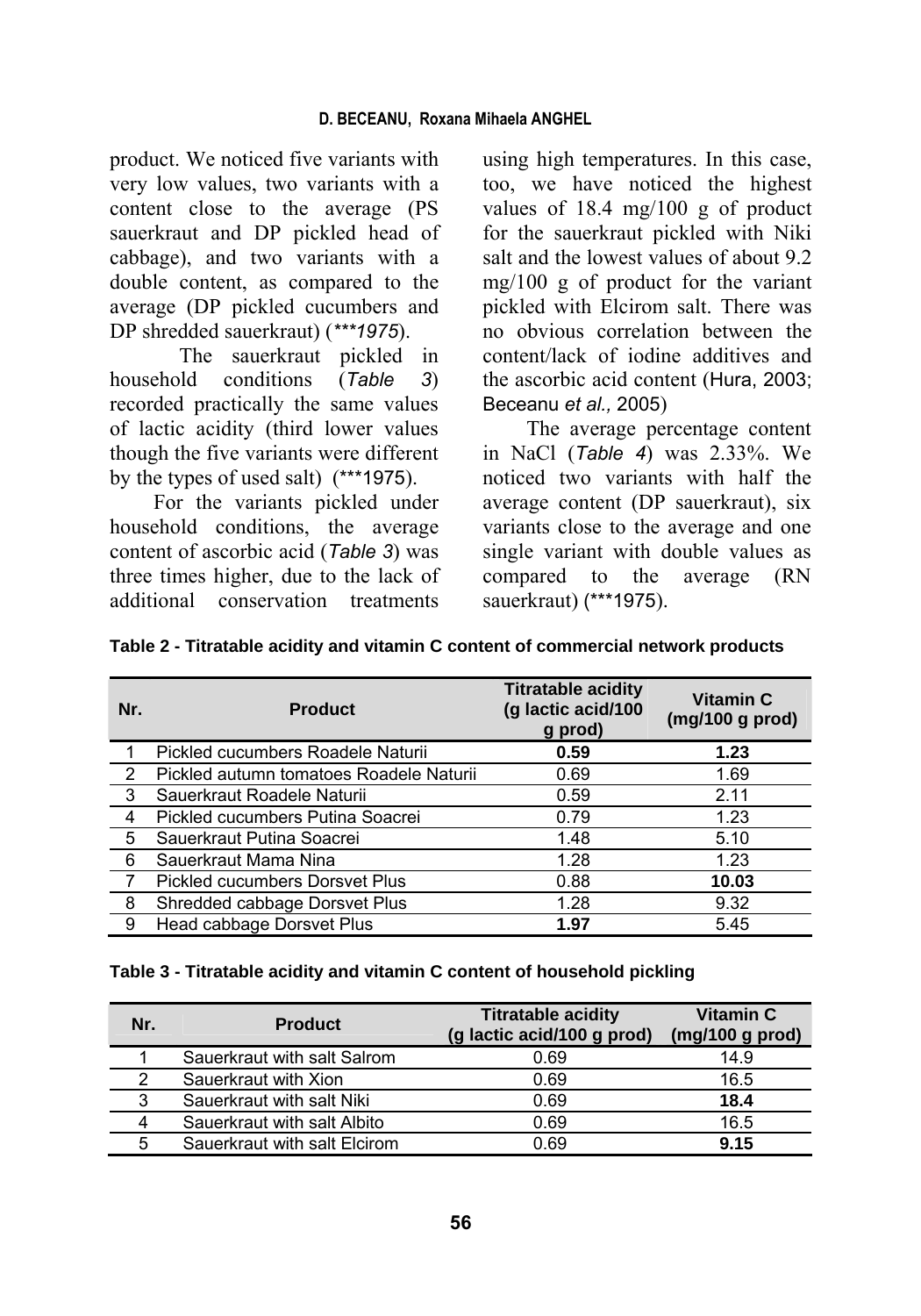product. We noticed five variants with very low values, two variants with a content close to the average (PS sauerkraut and DP pickled head of cabbage), and two variants with a double content, as compared to the average (DP pickled cucumbers and DP shredded sauerkraut) (*\*\*\*1975*).

The sauerkraut pickled in household conditions (*Table 3*) recorded practically the same values of lactic acidity (third lower values though the five variants were different by the types of used salt) (\*\*\*1975).

For the variants pickled under household conditions, the average content of ascorbic acid (*Table 3*) was three times higher, due to the lack of additional conservation treatments

using high temperatures. In this case, too, we have noticed the highest values of 18.4 mg/100 g of product for the sauerkraut pickled with Niki salt and the lowest values of about 9.2 mg/100 g of product for the variant pickled with Elcirom salt. There was no obvious correlation between the content/lack of iodine additives and the ascorbic acid content (Hura, 2003; Beceanu *et al.,* 2005)

The average percentage content in NaCl (*Table 4*) was 2.33%. We noticed two variants with half the average content (DP sauerkraut), six variants close to the average and one single variant with double values as compared to the average (RN sauerkraut) (\*\*\*1975).

| Nr. | <b>Product</b>                          | <b>Titratable acidity</b><br>(g lactic acid/100<br>g prod) | <b>Vitamin C</b><br>(mg/100 g prod) |
|-----|-----------------------------------------|------------------------------------------------------------|-------------------------------------|
|     | Pickled cucumbers Roadele Naturii       | 0.59                                                       | 1.23                                |
| 2   | Pickled autumn tomatoes Roadele Naturii | 0.69                                                       | 1.69                                |
| -3  | Sauerkraut Roadele Naturii              | 0.59                                                       | 2.11                                |
| 4   | Pickled cucumbers Putina Soacrei        | 0.79                                                       | 1.23                                |
| 5   | Sauerkraut Putina Soacrei               | 1.48                                                       | 5.10                                |
| 6   | Sauerkraut Mama Nina                    | 1.28                                                       | 1.23                                |
|     | <b>Pickled cucumbers Dorsvet Plus</b>   | 0.88                                                       | 10.03                               |
| 8   | Shredded cabbage Dorsvet Plus           | 1.28                                                       | 9.32                                |
| 9   | Head cabbage Dorsvet Plus               | 1.97                                                       | 5.45                                |

|  | Table 3 - Titratable acidity and vitamin C content of household pickling |  |
|--|--------------------------------------------------------------------------|--|
|--|--------------------------------------------------------------------------|--|

| Nr. | <b>Product</b>               | <b>Titratable acidity</b><br>(g lactic acid/100 g prod) | <b>Vitamin C</b><br>$(mg/100 g)$ prod) |
|-----|------------------------------|---------------------------------------------------------|----------------------------------------|
|     | Sauerkraut with salt Salrom  | 0.69                                                    | 14.9                                   |
| 2   | Sauerkraut with Xion         | 0.69                                                    | 16.5                                   |
| 3   | Sauerkraut with salt Niki    | 0.69                                                    | 18.4                                   |
| 4   | Sauerkraut with salt Albito  | 0.69                                                    | 16.5                                   |
| 5   | Sauerkraut with salt Elcirom | 0.69                                                    | 9.15                                   |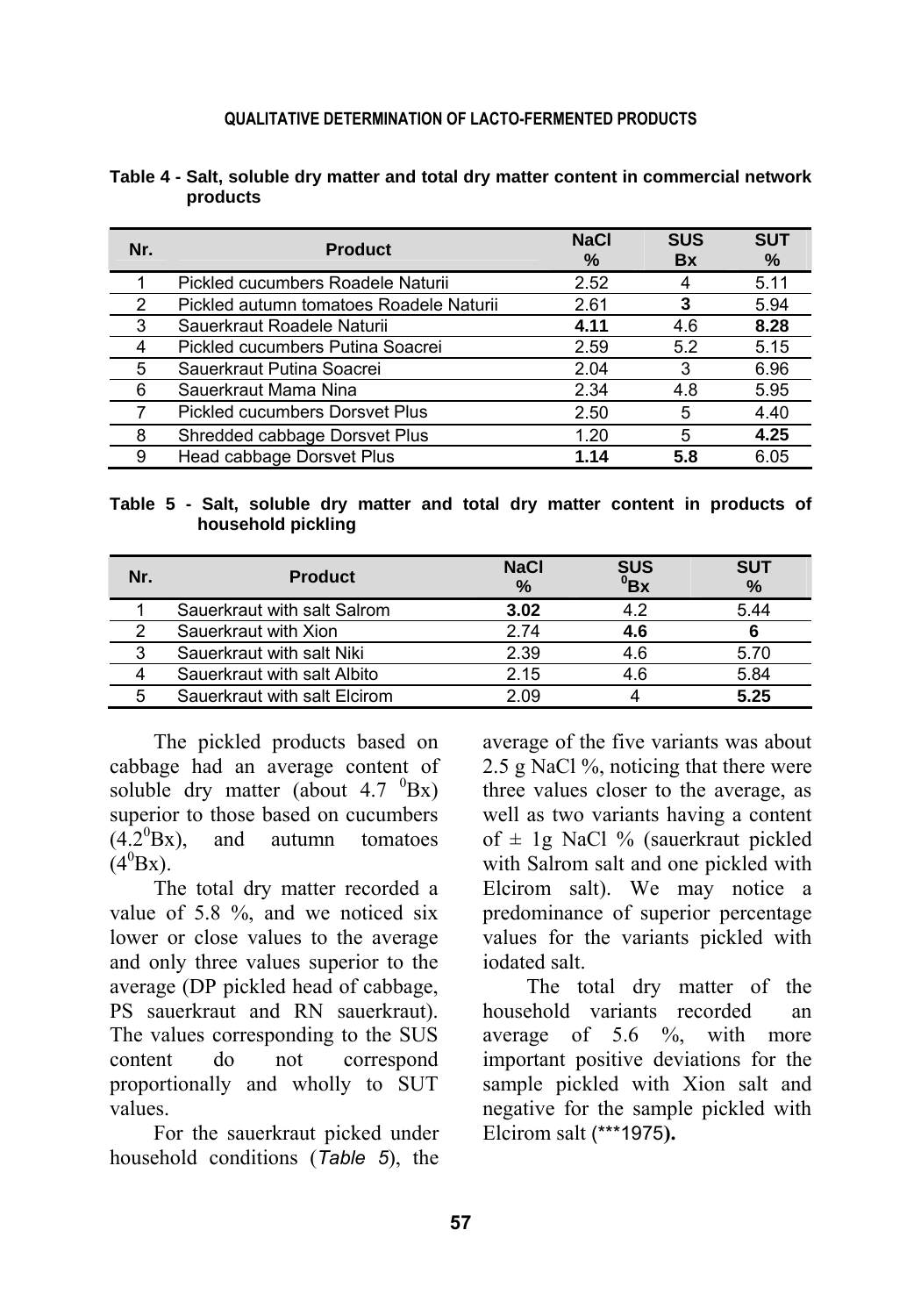| Nr. | <b>Product</b>                          | <b>NaCl</b><br>% | <b>SUS</b><br><b>Bx</b> | <b>SUT</b><br>% |
|-----|-----------------------------------------|------------------|-------------------------|-----------------|
|     | Pickled cucumbers Roadele Naturii       | 2.52             |                         | 5.11            |
| 2   | Pickled autumn tomatoes Roadele Naturii | 2.61             | 3                       | 5.94            |
| 3   | Sauerkraut Roadele Naturii              | 4.11             | 4.6                     | 8.28            |
| 4   | Pickled cucumbers Putina Soacrei        | 2.59             | 5.2                     | 5.15            |
| 5   | Sauerkraut Putina Soacrei               | 2.04             | 3                       | 6.96            |
| 6   | Sauerkraut Mama Nina                    | 2.34             | 4.8                     | 5.95            |
|     | <b>Pickled cucumbers Dorsvet Plus</b>   | 2.50             | 5                       | 4.40            |
| 8   | Shredded cabbage Dorsvet Plus           | 1.20             | 5                       | 4.25            |
| 9   | Head cabbage Dorsvet Plus               | 1.14             | 5.8                     | 6.05            |

| Table 4 - Salt, soluble dry matter and total dry matter content in commercial network |  |  |  |
|---------------------------------------------------------------------------------------|--|--|--|
| products                                                                              |  |  |  |

**Table 5 - Salt, soluble dry matter and total dry matter content in products of household pickling**

| Nr. | <b>Product</b>               | <b>NaCl</b><br>$\%$ | $\frac{SUS}{BX}$ | <b>SUT</b><br>$\%$ |
|-----|------------------------------|---------------------|------------------|--------------------|
|     | Sauerkraut with salt Salrom  | 3.02                | 4.2              | 5.44               |
|     | Sauerkraut with Xion         | 2.74                | 4.6              |                    |
| 3   | Sauerkraut with salt Niki    | 2.39                | 4.6              | 5.70               |
|     | Sauerkraut with salt Albito  | 2.15                | 4.6              | 5.84               |
| 5   | Sauerkraut with salt Elcirom | 2.09                |                  | 5.25               |

The pickled products based on cabbage had an average content of soluble dry matter (about  $4.7 \text{ }^{0}Bx$ ) superior to those based on cucumbers  $(4.2^{0}Bx)$ , and autumn tomatoes  $(4^0\text{Bx})$ .

The total dry matter recorded a value of 5.8 %, and we noticed six lower or close values to the average and only three values superior to the average (DP pickled head of cabbage, PS sauerkraut and RN sauerkraut). The values corresponding to the SUS content do not correspond proportionally and wholly to SUT values.

For the sauerkraut picked under household conditions (*Table 5*), the average of the five variants was about 2.5 g NaCl %, noticing that there were three values closer to the average, as well as two variants having a content of  $\pm$  1g NaCl % (sauerkraut pickled with Salrom salt and one pickled with Elcirom salt). We may notice a predominance of superior percentage values for the variants pickled with iodated salt.

The total dry matter of the household variants recorded an average of  $5.6 \frac{6}{9}$ , with more important positive deviations for the sample pickled with Xion salt and negative for the sample pickled with Elcirom salt (\*\*\*1975**).**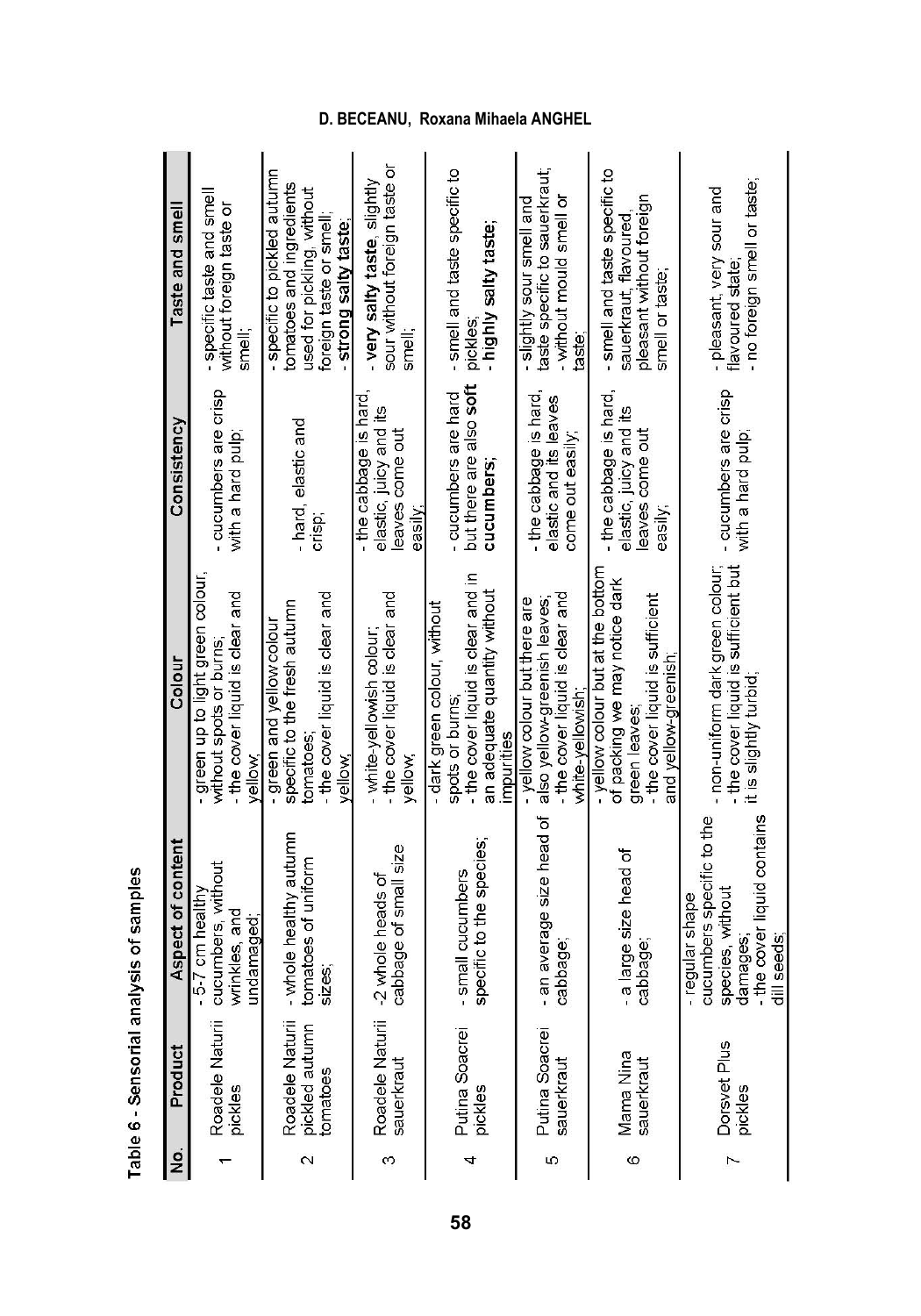| $\frac{1}{2}$     | Product                                       | Aspect of content                                                                                                        | Colou                                                                                                                                          | Consistency                                                                   | Taste and smel                                                                                                                           |
|-------------------|-----------------------------------------------|--------------------------------------------------------------------------------------------------------------------------|------------------------------------------------------------------------------------------------------------------------------------------------|-------------------------------------------------------------------------------|------------------------------------------------------------------------------------------------------------------------------------------|
|                   | Roadele Naturii<br>pickles                    | cucumbers, without<br>$-5-7$ cm health<br>wrinkles, and<br>undamaged;                                                    | green up to light green colour<br>- the cover liquid is clear and<br>without spots or burns<br>vellow                                          | cucumbers are crisp<br>with a hard pulp;                                      | specific taste and smel<br>without foreign taste or<br>smell                                                                             |
| $\mathbf{\Omega}$ | Roadele Naturii<br>pickled autumn<br>tomatoes | - whole healthy autumn<br>tomatoes of uniform<br><b>SIZes</b>                                                            | - the cover liquid is clear and<br>specific to the fresh autumn<br>- green and yellow colour<br>tomatoes<br>vellow                             | - hard, elastic and<br>Crisp;                                                 | - specific to pickled autumn<br>tomatoes and ingredients<br>used for pickling, without<br>foreign taste or smell:<br>strong salty taste. |
| $\infty$          | Roadele Naturii<br>sauerkraut                 | cabbage of small size<br>-2 whole heads of                                                                               | - the cover liquid is clear and<br>- white-vellowish colour<br>vellow,                                                                         | - the cabbage is hard<br>elastic, juicy and its<br>leaves come out<br>easlly: | $\overline{\circ}$<br>- very salty taste, slightly<br>sour without foreign taste<br>smell:                                               |
| 4                 | Putina Soacrei<br>pickles                     | specific to the species;<br>small cucumbers                                                                              | - the cover liquid is clear and in<br>an adequate quantity without<br>- dark green colour, without<br>spots or burns<br>impurities             | but there are also soft<br>- cucumbers are hard<br>cucumbers;                 | - smell and taste specific to<br>highly salty taste;<br>pickles                                                                          |
| Ю                 | Putina Soacrei<br>sauerkraut                  | - an average size head of<br>cabbage                                                                                     | - the cover liquid is clear and<br>- yellow colour but there are<br>also yellow-greenish leaves<br>white-yellowish                             | the cabbage is hard,<br>elastic and its leaves<br>come out easily;            | taste specific to sauerkraut;<br>slightly sour smell and<br>- without mould smell<br>taste                                               |
| Ø                 | Mama Nina<br>sauerkraut                       | - a large size head of<br>cabbage                                                                                        | - vellow colour but at the bottom<br>of packing we may notice dark<br>- the cover liquid is sufficient<br>and yellow-greenish<br>green leaves; | - the cabbage is hard<br>Ľ<br>elastic, juicy and<br>leaves come out<br>easily | - smell and taste specific to<br>pleasant without foreign<br>sauerkraut, flavoured,<br>smell or taste;                                   |
| $\sim$            | Dorsvet Plus<br>pickles                       | - the cover liquid contains<br>cucumbers specific to the<br>species, without<br>- requiar shape<br>damages<br>dill seeds | - the cover liquid is sufficient but<br>- non-uniform dark green colour,<br>it is slightly turbid;                                             | - cucumbers are crisp<br>with a hard pulp;                                    | - no foreign smell or taste;<br>- pleasant very sour and<br>flavoured state                                                              |

Table 6 - Sensorial analysis of samples

# **D. BECEANU, Roxana Mihaela ANGHEL**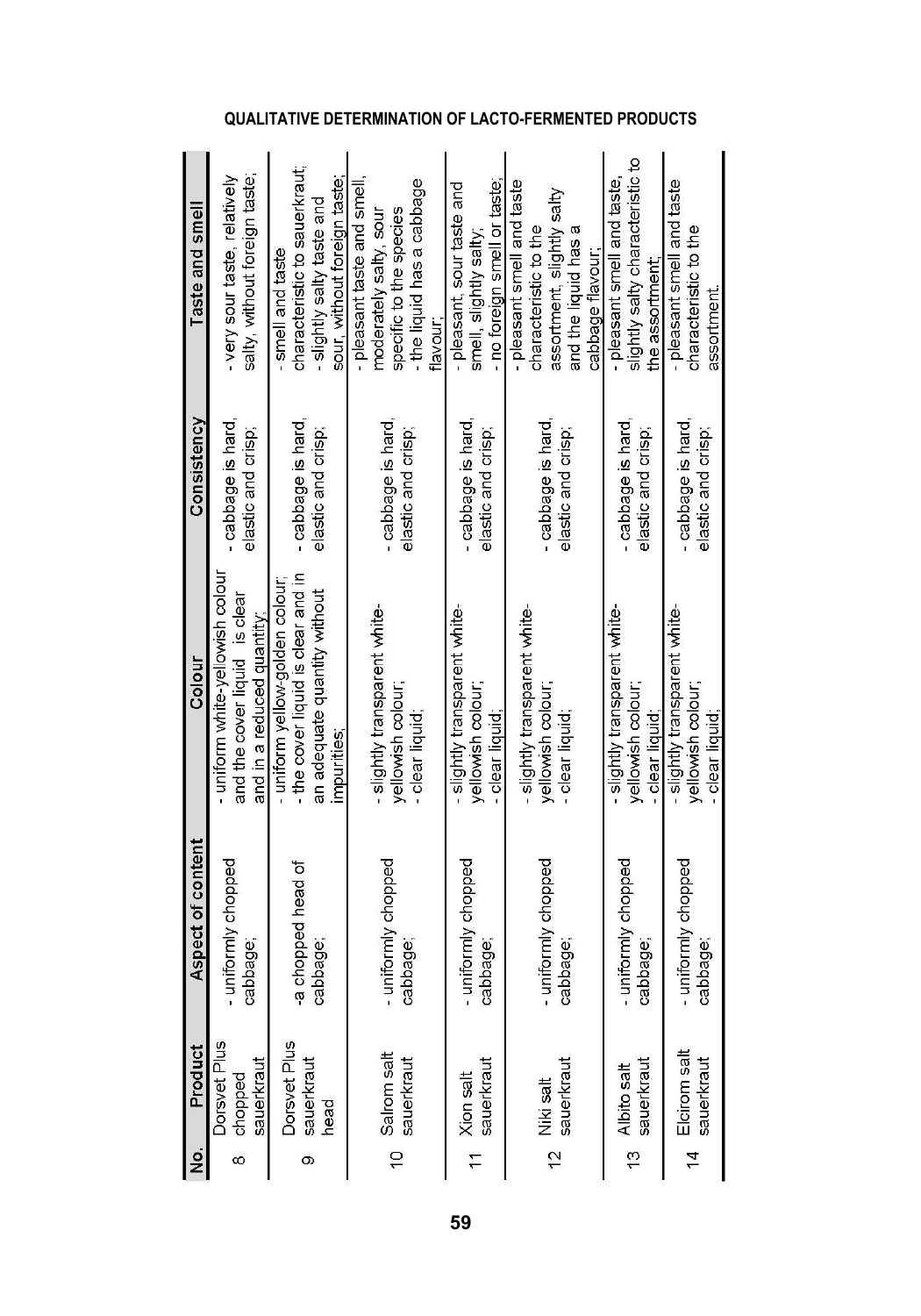|                                             | Product | Aspect of content              | Colou                                                                                                              | Consistency                              | Taste and sme                                                                                                                |
|---------------------------------------------|---------|--------------------------------|--------------------------------------------------------------------------------------------------------------------|------------------------------------------|------------------------------------------------------------------------------------------------------------------------------|
| Dorsvet Plus<br>sauerkraut<br>chopped       |         | - uniformly chopped<br>cabbage | - uniform white-vellowish colour<br>and the cover liquid is clear<br>and in a reduced quantity;                    | cabbage is hard<br>elastic and crisp;    | salty, without foreign taste;<br>- very sour taste, relatively                                                               |
| Dorsvet Plus<br>sauerkraut<br>head          |         | -a chopped head of<br>cabbage  | - the cover liquid is clear and in<br>- uniform yellow-golden colour;<br>an adequate quantly without<br>impurities | - cabbage is hard,<br>elastic and crisp; | characteristic to sauerkraut;<br>sour, without foreign taste:<br>slightly salty taste and<br>smell and taste                 |
| 10 Salrom salt<br>sauerkraut                |         | - uniformly chopped<br>cabbage | - slightly transparent white-<br>yellowish colour;<br>- clear liquid                                               | - cabbage is hard,<br>elastic and crisp; | - the liquid has a cabbage<br>- pleasant taste and smell<br>specific to the species<br>moderately salty, sour<br>flavour     |
| sauerkraut<br>11 Xion salt                  |         | - uniformly chopped<br>cabbage | - slightly transparent white<br>vellowsh colour<br>- clear liquid                                                  | cabbage is hard<br>elastic and crisp;    | - no foreign smell or taste;<br>- pleasant, sour taste and<br>smell, slightly salty                                          |
| sauerkraut<br>12 Niki salt                  |         | - uniformly chopped<br>cabbage | - slightly transparent white<br>yellowsh colour;<br>- clear liquid                                                 | - cabbage is hard,<br>elastic and crisp; | - pleasant smell and taste<br>assortment, slightly salty<br>characteristic to the<br>and the liquid has a<br>cabbage flavour |
| sauerkraut<br>13 Albito salt                |         | - uniformly chopped<br>cabbage | slightly transparent white<br>yellowsh colour;<br>- clear liquid:                                                  | - cabbage is hard<br>elastic and crisp;  | slightly salty characteristic to<br>- pleasant smell and taste<br>the assortment                                             |
| Elcirom salt<br>sauerkraut<br>$\frac{4}{3}$ |         | - uniformly chopped<br>cabbage | - slightly transparent white<br>yellowish colour;<br>- clear liquid                                                | - cabbage is hard<br>elastic and crisp;  | - pleasant smell and taste<br>characteristic to the<br>assortment                                                            |

## **QUALITATIVE DETERMINATION OF LACTO-FERMENTED PRODUCTS**